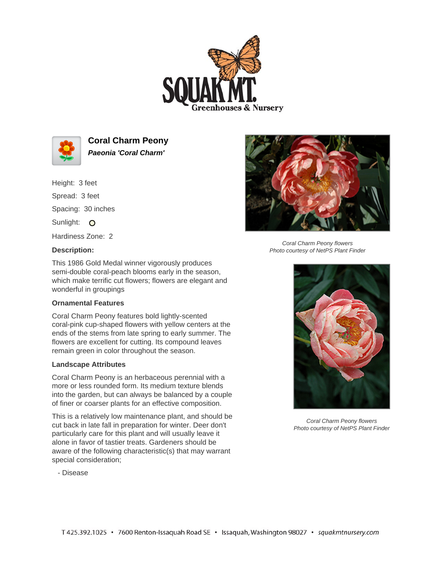



**Coral Charm Peony Paeonia 'Coral Charm'**

Height: 3 feet Spread: 3 feet Spacing: 30 inches Sunlight: O Hardiness Zone: 2

## **Description:**



Coral Charm Peony flowers Photo courtesy of NetPS Plant Finder

This 1986 Gold Medal winner vigorously produces semi-double coral-peach blooms early in the season, which make terrific cut flowers; flowers are elegant and wonderful in groupings

## **Ornamental Features**

Coral Charm Peony features bold lightly-scented coral-pink cup-shaped flowers with yellow centers at the ends of the stems from late spring to early summer. The flowers are excellent for cutting. Its compound leaves remain green in color throughout the season.

## **Landscape Attributes**

Coral Charm Peony is an herbaceous perennial with a more or less rounded form. Its medium texture blends into the garden, but can always be balanced by a couple of finer or coarser plants for an effective composition.

This is a relatively low maintenance plant, and should be cut back in late fall in preparation for winter. Deer don't particularly care for this plant and will usually leave it alone in favor of tastier treats. Gardeners should be aware of the following characteristic(s) that may warrant special consideration;

- Disease



Coral Charm Peony flowers Photo courtesy of NetPS Plant Finder